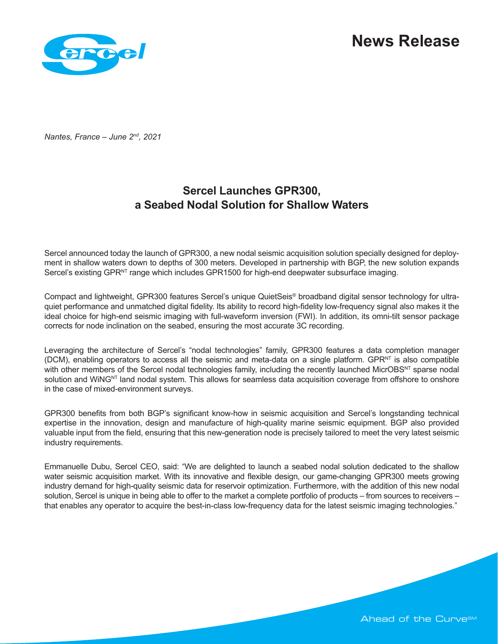

*Nantes, France – June 2nd, 2021*

# **Sercel Launches GPR300, a Seabed Nodal Solution for Shallow Waters**

Sercel announced today the launch of GPR300, a new nodal seismic acquisition solution specially designed for deployment in shallow waters down to depths of 300 meters. Developed in partnership with BGP, the new solution expands Sercel's existing GPR<sup>NT</sup> range which includes GPR1500 for high-end deepwater subsurface imaging.

Compact and lightweight, GPR300 features Sercel's unique QuietSeis® broadband digital sensor technology for ultraquiet performance and unmatched digital fidelity. Its ability to record high-fidelity low-frequency signal also makes it the ideal choice for high-end seismic imaging with full-waveform inversion (FWI). In addition, its omni-tilt sensor package corrects for node inclination on the seabed, ensuring the most accurate 3C recording.

Leveraging the architecture of Sercel's "nodal technologies" family, GPR300 features a data completion manager (DCM), enabling operators to access all the seismic and meta-data on a single platform. GPRNT is also compatible with other members of the Sercel nodal technologies family, including the recently launched MicrOBSNT sparse nodal solution and WiNGNT land nodal system. This allows for seamless data acquisition coverage from offshore to onshore in the case of mixed-environment surveys.

GPR300 benefits from both BGP's significant know-how in seismic acquisition and Sercel's longstanding technical expertise in the innovation, design and manufacture of high-quality marine seismic equipment. BGP also provided valuable input from the field, ensuring that this new-generation node is precisely tailored to meet the very latest seismic industry requirements.

Emmanuelle Dubu, Sercel CEO, said: "We are delighted to launch a seabed nodal solution dedicated to the shallow water seismic acquisition market. With its innovative and flexible design, our game-changing GPR300 meets growing industry demand for high-quality seismic data for reservoir optimization. Furthermore, with the addition of this new nodal solution, Sercel is unique in being able to offer to the market a complete portfolio of products – from sources to receivers – that enables any operator to acquire the best-in-class low-frequency data for the latest seismic imaging technologies."

Ahead of the Curve<sup>sM</sup>